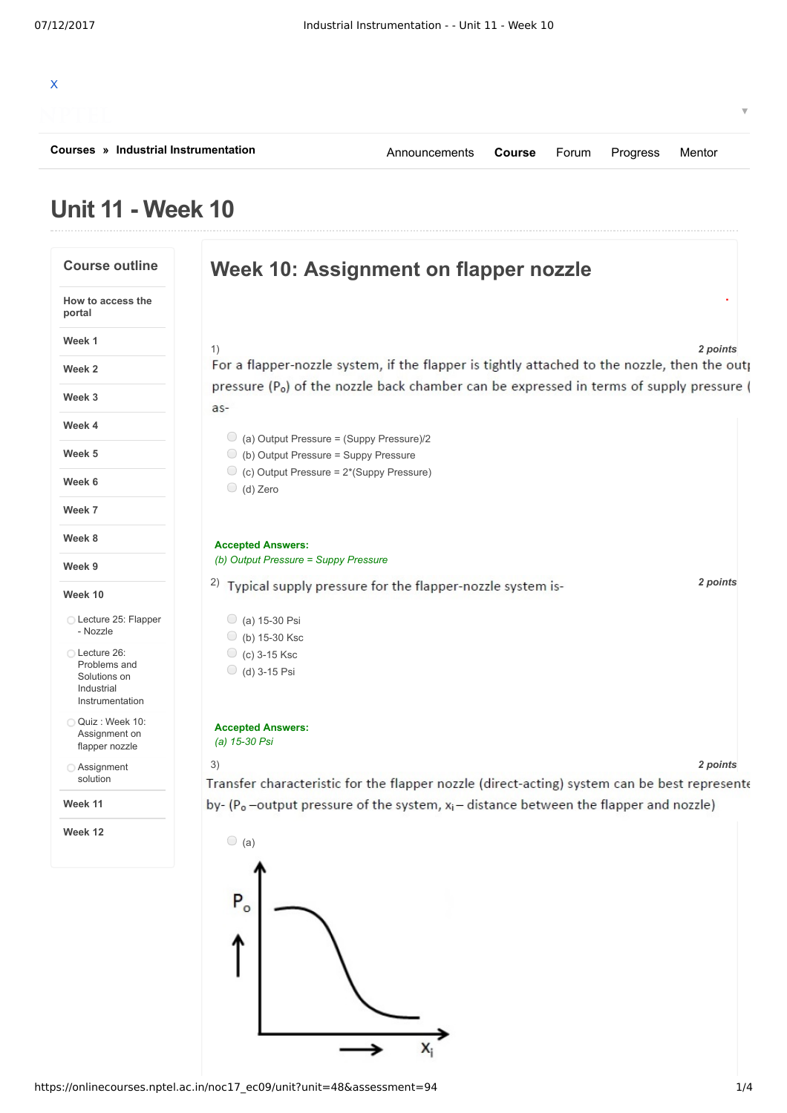| Courses » Industrial Instrumentation | Announcements Course Forum Progress Mentor |  |  |  |
|--------------------------------------|--------------------------------------------|--|--|--|
|                                      |                                            |  |  |  |

## **Unit 11 - Week 10**

## **Course outline Week 10: Assignment on flapper nozzle . How to access the portal Week 1** 1) *2 points* For a flapper-nozzle system, if the flapper is tightly attached to the nozzle, then the outp **Week 2** pressure (P<sub>o</sub>) of the nozzle back chamber can be expressed in terms of supply pressure ( **Week 3** as-**Week 4**  $\bigcirc$  (a) Output Pressure = (Suppy Pressure)/2 **Week 5** (b) Output Pressure = Suppy Pressure  $\bigcirc$  (c) Output Pressure = 2\*(Suppy Pressure) **Week 6** (d) Zero **Week 7 Week 8 Accepted Answers:** *(b) Output Pressure = Suppy Pressure* **Week 9** <sup>2</sup>) Typical supply pressure for the flapper-nozzle system is-<br>2 *points* **Week 10** Lecture 25: Flapper  $\bigcirc$  (a) 15-30 Psi - Nozzle (b) 15-30 Ksc Lecture 26:  $\circ$  (c) 3-15 Ksc Problems and  $\bigcirc$  (d) 3-15 Psi Solutions on Industrial Instrumentation Quiz : Week 10: **Accepted Answers:** Assignment on *(a) 15-30 Psi* flapper nozzle 3) *2 points* Assignment solution Transfer characteristic for the flapper nozzle (direct-acting) system can be best represente **Week 11** by- $(P_0$ -output pressure of the system,  $x_i$ -distance between the flapper and nozzle) **Week 12**  $\bigcirc$  (a)

 $X_i$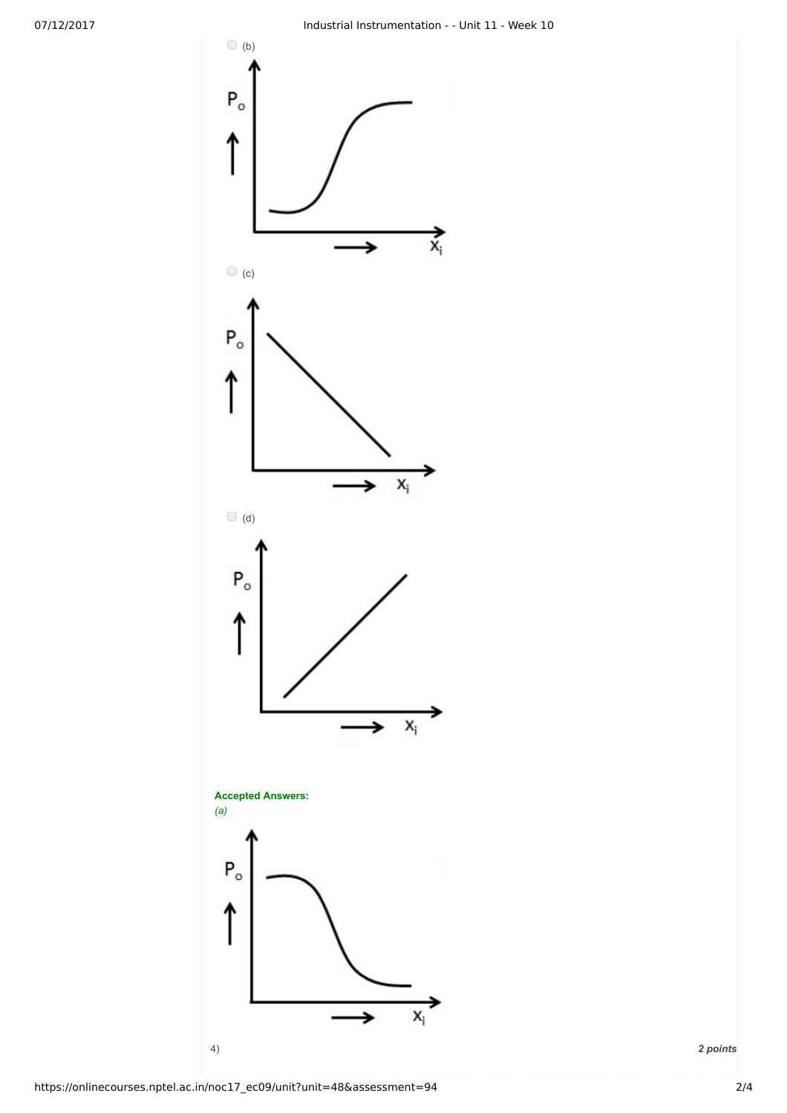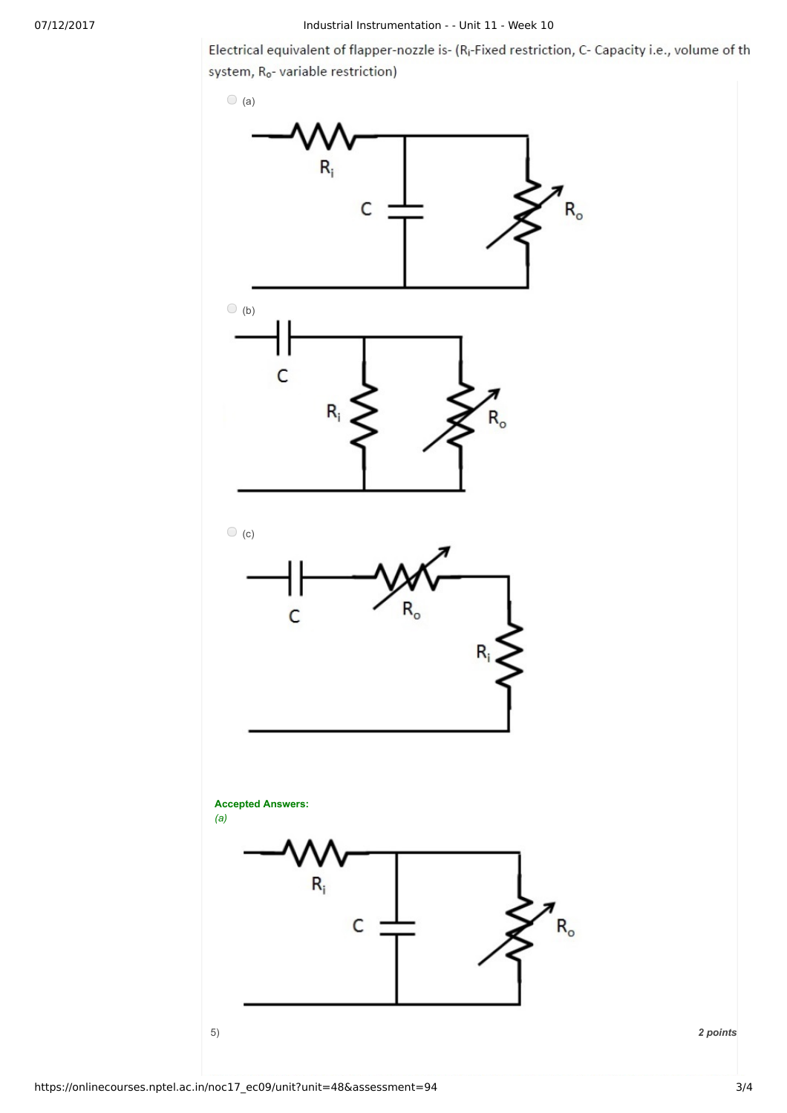Electrical equivalent of flapper-nozzle is- (R<sub>i</sub>-Fixed restriction, C- Capacity i.e., volume of th system, R<sub>o</sub>- variable restriction)



https://onlinecourses.nptel.ac.in/noc17\_ec09/unit?unit=48&assessment=94 3/4